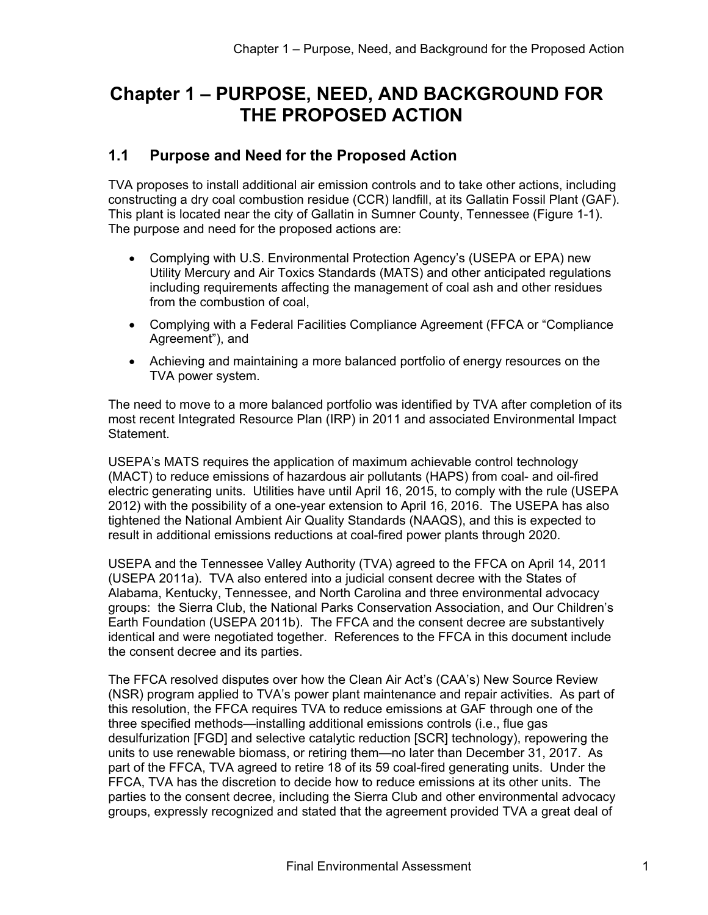# **Chapter 1 – PURPOSE, NEED, AND BACKGROUND FOR THE PROPOSED ACTION**

### **1.1 Purpose and Need for the Proposed Action**

TVA proposes to install additional air emission controls and to take other actions, including constructing a dry coal combustion residue (CCR) landfill, at its Gallatin Fossil Plant (GAF). This plant is located near the city of Gallatin in Sumner County, Tennessee (Figure 1-1). The purpose and need for the proposed actions are:

- Complying with U.S. Environmental Protection Agency's (USEPA or EPA) new Utility Mercury and Air Toxics Standards (MATS) and other anticipated regulations including requirements affecting the management of coal ash and other residues from the combustion of coal,
- Complying with a Federal Facilities Compliance Agreement (FFCA or "Compliance Agreement"), and
- Achieving and maintaining a more balanced portfolio of energy resources on the TVA power system.

The need to move to a more balanced portfolio was identified by TVA after completion of its most recent Integrated Resource Plan (IRP) in 2011 and associated Environmental Impact Statement.

USEPA's MATS requires the application of maximum achievable control technology (MACT) to reduce emissions of hazardous air pollutants (HAPS) from coal- and oil-fired electric generating units. Utilities have until April 16, 2015, to comply with the rule (USEPA 2012) with the possibility of a one-year extension to April 16, 2016. The USEPA has also tightened the National Ambient Air Quality Standards (NAAQS), and this is expected to result in additional emissions reductions at coal-fired power plants through 2020.

USEPA and the Tennessee Valley Authority (TVA) agreed to the FFCA on April 14, 2011 (USEPA 2011a). TVA also entered into a judicial consent decree with the States of Alabama, Kentucky, Tennessee, and North Carolina and three environmental advocacy groups: the Sierra Club, the National Parks Conservation Association, and Our Children's Earth Foundation (USEPA 2011b). The FFCA and the consent decree are substantively identical and were negotiated together. References to the FFCA in this document include the consent decree and its parties.

The FFCA resolved disputes over how the Clean Air Act's (CAA's) New Source Review (NSR) program applied to TVA's power plant maintenance and repair activities. As part of this resolution, the FFCA requires TVA to reduce emissions at GAF through one of the three specified methods—installing additional emissions controls (i.e., flue gas desulfurization [FGD] and selective catalytic reduction [SCR] technology), repowering the units to use renewable biomass, or retiring them—no later than December 31, 2017. As part of the FFCA, TVA agreed to retire 18 of its 59 coal-fired generating units. Under the FFCA, TVA has the discretion to decide how to reduce emissions at its other units. The parties to the consent decree, including the Sierra Club and other environmental advocacy groups, expressly recognized and stated that the agreement provided TVA a great deal of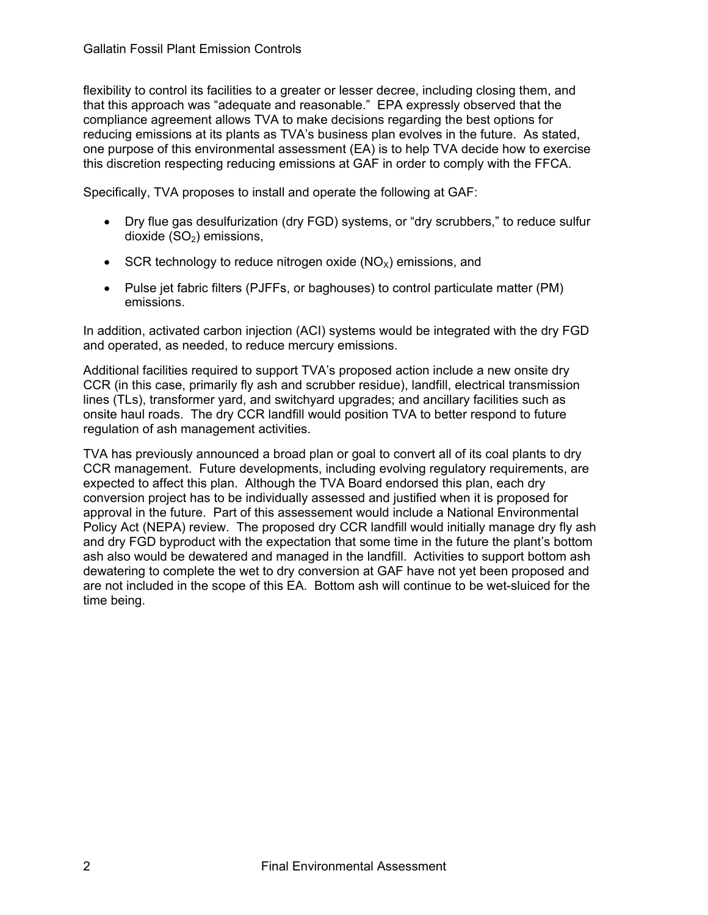flexibility to control its facilities to a greater or lesser decree, including closing them, and that this approach was "adequate and reasonable." EPA expressly observed that the compliance agreement allows TVA to make decisions regarding the best options for reducing emissions at its plants as TVA's business plan evolves in the future. As stated, one purpose of this environmental assessment (EA) is to help TVA decide how to exercise this discretion respecting reducing emissions at GAF in order to comply with the FFCA.

Specifically, TVA proposes to install and operate the following at GAF:

- Dry flue gas desulfurization (dry FGD) systems, or "dry scrubbers," to reduce sulfur dioxide  $(SO<sub>2</sub>)$  emissions,
- SCR technology to reduce nitrogen oxide  $(NO_x)$  emissions, and
- Pulse jet fabric filters (PJFFs, or baghouses) to control particulate matter (PM) emissions.

In addition, activated carbon injection (ACI) systems would be integrated with the dry FGD and operated, as needed, to reduce mercury emissions.

Additional facilities required to support TVA's proposed action include a new onsite dry CCR (in this case, primarily fly ash and scrubber residue), landfill, electrical transmission lines (TLs), transformer yard, and switchyard upgrades; and ancillary facilities such as onsite haul roads. The dry CCR landfill would position TVA to better respond to future regulation of ash management activities.

TVA has previously announced a broad plan or goal to convert all of its coal plants to dry CCR management. Future developments, including evolving regulatory requirements, are expected to affect this plan. Although the TVA Board endorsed this plan, each dry conversion project has to be individually assessed and justified when it is proposed for approval in the future. Part of this assessement would include a National Environmental Policy Act (NEPA) review. The proposed dry CCR landfill would initially manage dry fly ash and dry FGD byproduct with the expectation that some time in the future the plant's bottom ash also would be dewatered and managed in the landfill. Activities to support bottom ash dewatering to complete the wet to dry conversion at GAF have not yet been proposed and are not included in the scope of this EA. Bottom ash will continue to be wet-sluiced for the time being.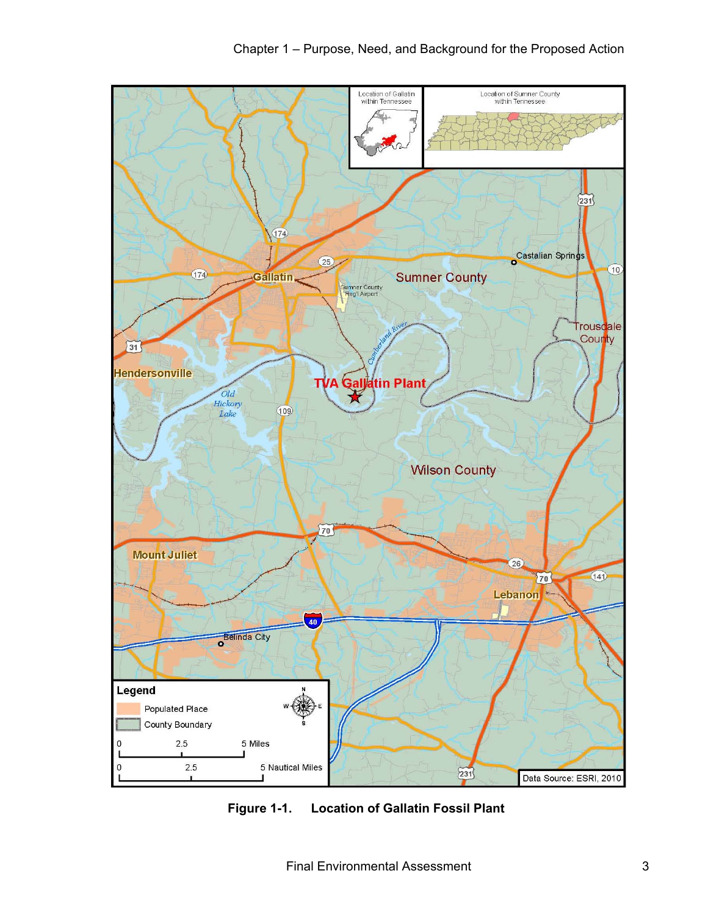

**Figure 1-1. Location of Gallatin Fossil Plant**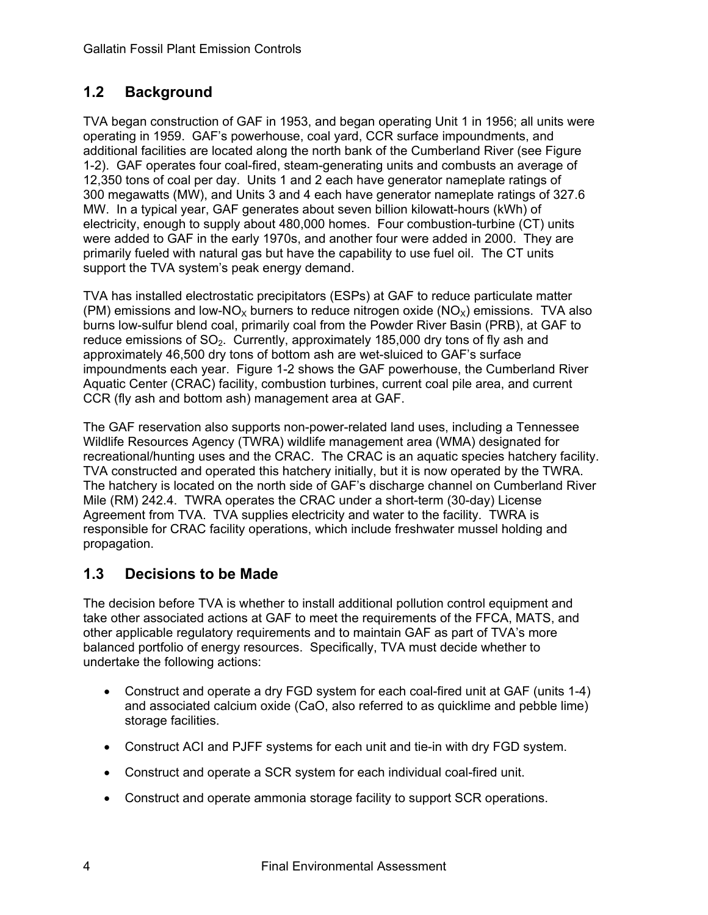## **1.2 Background**

TVA began construction of GAF in 1953, and began operating Unit 1 in 1956; all units were operating in 1959. GAF's powerhouse, coal yard, CCR surface impoundments, and additional facilities are located along the north bank of the Cumberland River (see Figure 1-2). GAF operates four coal-fired, steam-generating units and combusts an average of 12,350 tons of coal per day. Units 1 and 2 each have generator nameplate ratings of 300 megawatts (MW), and Units 3 and 4 each have generator nameplate ratings of 327.6 MW. In a typical year, GAF generates about seven billion kilowatt-hours (kWh) of electricity, enough to supply about 480,000 homes. Four combustion-turbine (CT) units were added to GAF in the early 1970s, and another four were added in 2000. They are primarily fueled with natural gas but have the capability to use fuel oil. The CT units support the TVA system's peak energy demand.

TVA has installed electrostatic precipitators (ESPs) at GAF to reduce particulate matter (PM) emissions and low-NO<sub>x</sub> burners to reduce nitrogen oxide (NO<sub>x</sub>) emissions. TVA also burns low-sulfur blend coal, primarily coal from the Powder River Basin (PRB), at GAF to reduce emissions of  $SO_2$ . Currently, approximately 185,000 dry tons of fly ash and approximately 46,500 dry tons of bottom ash are wet-sluiced to GAF's surface impoundments each year. Figure 1-2 shows the GAF powerhouse, the Cumberland River Aquatic Center (CRAC) facility, combustion turbines, current coal pile area, and current CCR (fly ash and bottom ash) management area at GAF.

The GAF reservation also supports non-power-related land uses, including a Tennessee Wildlife Resources Agency (TWRA) wildlife management area (WMA) designated for recreational/hunting uses and the CRAC. The CRAC is an aquatic species hatchery facility. TVA constructed and operated this hatchery initially, but it is now operated by the TWRA. The hatchery is located on the north side of GAF's discharge channel on Cumberland River Mile (RM) 242.4. TWRA operates the CRAC under a short-term (30-day) License Agreement from TVA. TVA supplies electricity and water to the facility. TWRA is responsible for CRAC facility operations, which include freshwater mussel holding and propagation.

## **1.3 Decisions to be Made**

The decision before TVA is whether to install additional pollution control equipment and take other associated actions at GAF to meet the requirements of the FFCA, MATS, and other applicable regulatory requirements and to maintain GAF as part of TVA's more balanced portfolio of energy resources. Specifically, TVA must decide whether to undertake the following actions:

- Construct and operate a dry FGD system for each coal-fired unit at GAF (units 1-4) and associated calcium oxide (CaO, also referred to as quicklime and pebble lime) storage facilities.
- Construct ACI and PJFF systems for each unit and tie-in with dry FGD system.
- Construct and operate a SCR system for each individual coal-fired unit.
- Construct and operate ammonia storage facility to support SCR operations.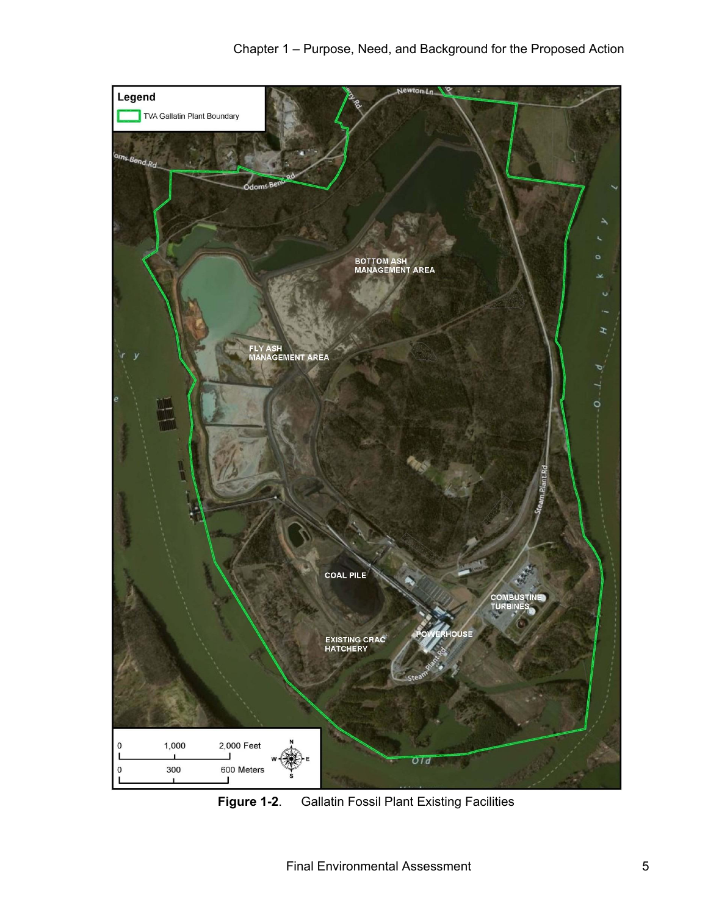

**Figure 1-2**. Gallatin Fossil Plant Existing Facilities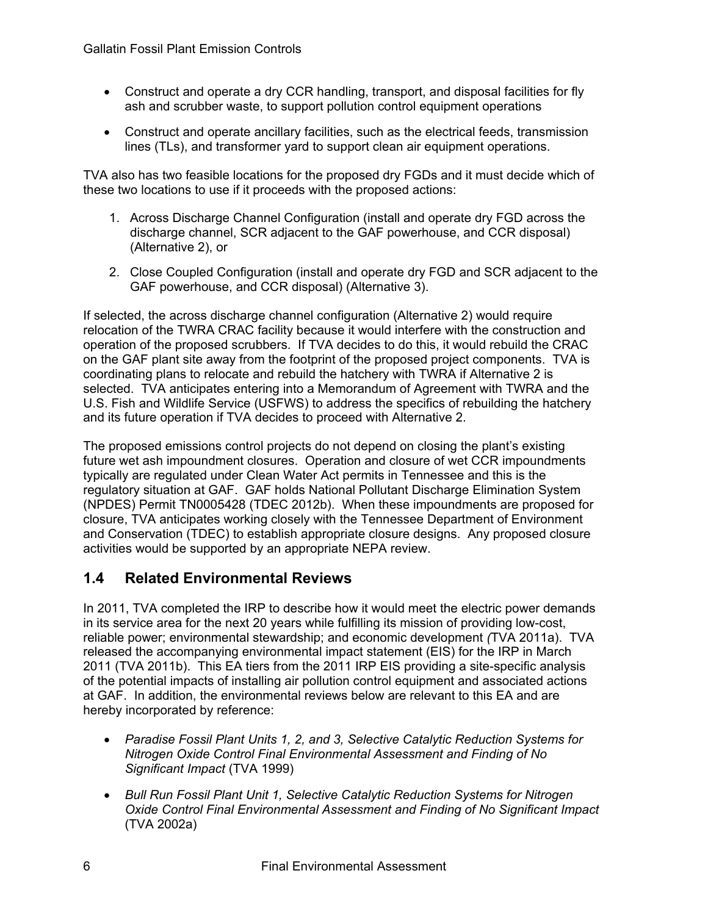- Construct and operate a dry CCR handling, transport, and disposal facilities for fly ash and scrubber waste, to support pollution control equipment operations
- Construct and operate ancillary facilities, such as the electrical feeds, transmission lines (TLs), and transformer yard to support clean air equipment operations.

TVA also has two feasible locations for the proposed dry FGDs and it must decide which of these two locations to use if it proceeds with the proposed actions:

- 1. Across Discharge Channel Configuration (install and operate dry FGD across the discharge channel, SCR adjacent to the GAF powerhouse, and CCR disposal) (Alternative 2), or
- 2. Close Coupled Configuration (install and operate dry FGD and SCR adjacent to the GAF powerhouse, and CCR disposal) (Alternative 3).

If selected, the across discharge channel configuration (Alternative 2) would require relocation of the TWRA CRAC facility because it would interfere with the construction and operation of the proposed scrubbers. If TVA decides to do this, it would rebuild the CRAC on the GAF plant site away from the footprint of the proposed project components. TVA is coordinating plans to relocate and rebuild the hatchery with TWRA if Alternative 2 is selected. TVA anticipates entering into a Memorandum of Agreement with TWRA and the U.S. Fish and Wildlife Service (USFWS) to address the specifics of rebuilding the hatchery and its future operation if TVA decides to proceed with Alternative 2.

The proposed emissions control projects do not depend on closing the plant's existing future wet ash impoundment closures. Operation and closure of wet CCR impoundments typically are regulated under Clean Water Act permits in Tennessee and this is the regulatory situation at GAF. GAF holds National Pollutant Discharge Elimination System (NPDES) Permit TN0005428 (TDEC 2012b). When these impoundments are proposed for closure, TVA anticipates working closely with the Tennessee Department of Environment and Conservation (TDEC) to establish appropriate closure designs. Any proposed closure activities would be supported by an appropriate NEPA review.

## **1.4 Related Environmental Reviews**

In 2011, TVA completed the IRP to describe how it would meet the electric power demands in its service area for the next 20 years while fulfilling its mission of providing low-cost, reliable power; environmental stewardship; and economic development *(*TVA 2011a). TVA released the accompanying environmental impact statement (EIS) for the IRP in March 2011 (TVA 2011b). This EA tiers from the 2011 IRP EIS providing a site-specific analysis of the potential impacts of installing air pollution control equipment and associated actions at GAF. In addition, the environmental reviews below are relevant to this EA and are hereby incorporated by reference:

- *Paradise Fossil Plant Units 1, 2, and 3, Selective Catalytic Reduction Systems for Nitrogen Oxide Control Final Environmental Assessment and Finding of No Significant Impact* (TVA 1999)
- *Bull Run Fossil Plant Unit 1, Selective Catalytic Reduction Systems for Nitrogen Oxide Control Final Environmental Assessment and Finding of No Significant Impact*  (TVA 2002a)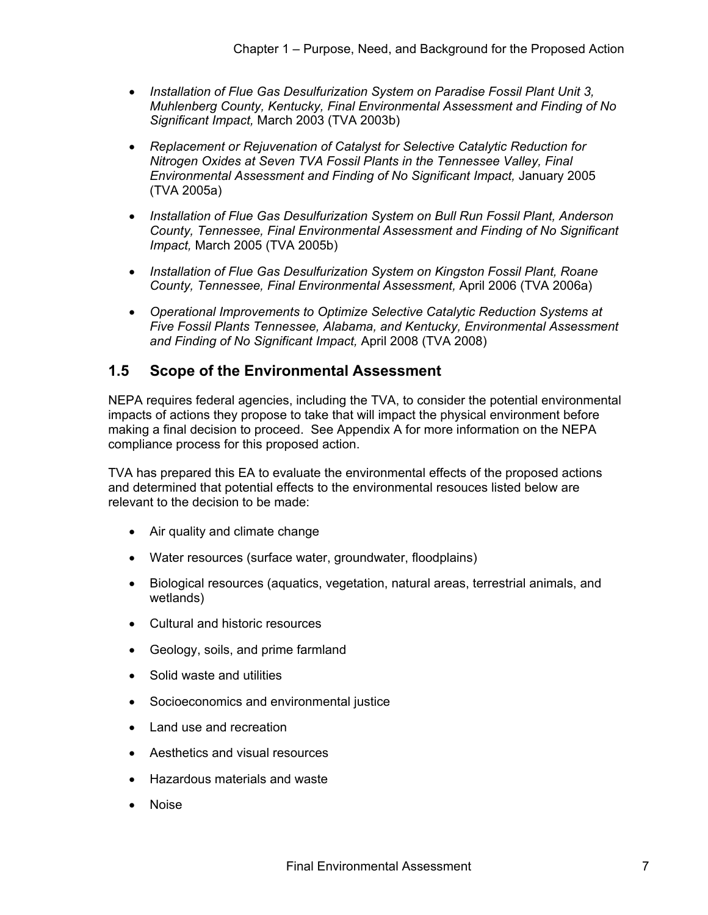- *Installation of Flue Gas Desulfurization System on Paradise Fossil Plant Unit 3, Muhlenberg County, Kentucky, Final Environmental Assessment and Finding of No Significant Impact,* March 2003 (TVA 2003b)
- *Replacement or Rejuvenation of Catalyst for Selective Catalytic Reduction for Nitrogen Oxides at Seven TVA Fossil Plants in the Tennessee Valley, Final Environmental Assessment and Finding of No Significant Impact,* January 2005 (TVA 2005a)
- *Installation of Flue Gas Desulfurization System on Bull Run Fossil Plant, Anderson County, Tennessee, Final Environmental Assessment and Finding of No Significant Impact,* March 2005 (TVA 2005b)
- *Installation of Flue Gas Desulfurization System on Kingston Fossil Plant, Roane County, Tennessee, Final Environmental Assessment,* April 2006 (TVA 2006a)
- *Operational Improvements to Optimize Selective Catalytic Reduction Systems at Five Fossil Plants Tennessee, Alabama, and Kentucky, Environmental Assessment and Finding of No Significant Impact,* April 2008 (TVA 2008)

## **1.5 Scope of the Environmental Assessment**

NEPA requires federal agencies, including the TVA, to consider the potential environmental impacts of actions they propose to take that will impact the physical environment before making a final decision to proceed. See Appendix A for more information on the NEPA compliance process for this proposed action.

TVA has prepared this EA to evaluate the environmental effects of the proposed actions and determined that potential effects to the environmental resouces listed below are relevant to the decision to be made:

- Air quality and climate change
- Water resources (surface water, groundwater, floodplains)
- Biological resources (aquatics, vegetation, natural areas, terrestrial animals, and wetlands)
- Cultural and historic resources
- Geology, soils, and prime farmland
- Solid waste and utilities
- Socioeconomics and environmental justice
- Land use and recreation
- Aesthetics and visual resources
- Hazardous materials and waste
- Noise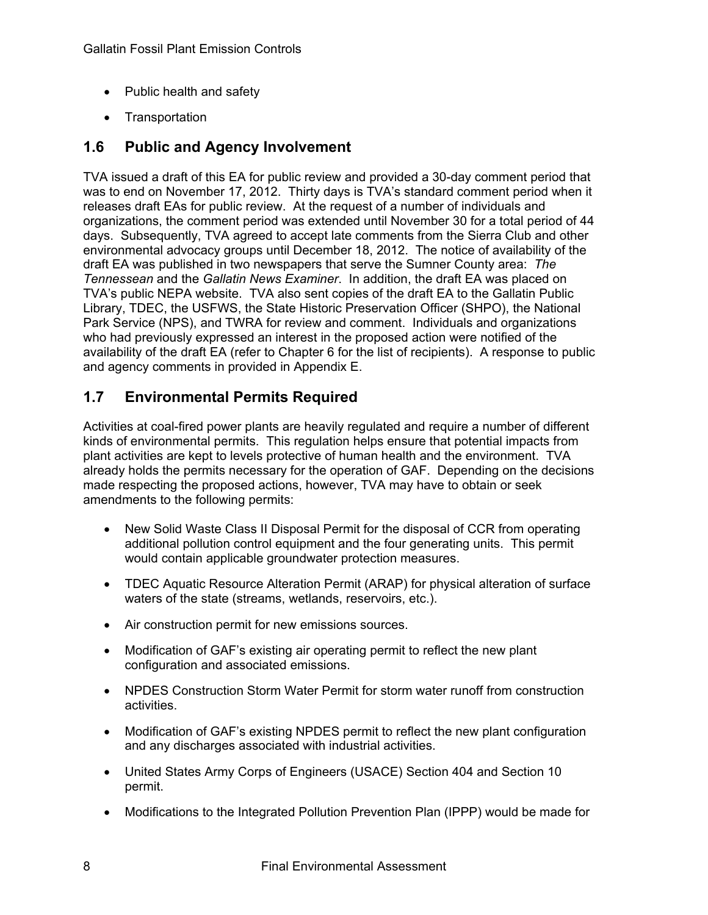- Public health and safety
- Transportation

## **1.6 Public and Agency Involvement**

TVA issued a draft of this EA for public review and provided a 30-day comment period that was to end on November 17, 2012. Thirty days is TVA's standard comment period when it releases draft EAs for public review. At the request of a number of individuals and organizations, the comment period was extended until November 30 for a total period of 44 days. Subsequently, TVA agreed to accept late comments from the Sierra Club and other environmental advocacy groups until December 18, 2012. The notice of availability of the draft EA was published in two newspapers that serve the Sumner County area: *The Tennessean* and the *Gallatin News Examiner*. In addition, the draft EA was placed on TVA's public NEPA website. TVA also sent copies of the draft EA to the Gallatin Public Library, TDEC, the USFWS, the State Historic Preservation Officer (SHPO), the National Park Service (NPS), and TWRA for review and comment. Individuals and organizations who had previously expressed an interest in the proposed action were notified of the availability of the draft EA (refer to Chapter 6 for the list of recipients). A response to public and agency comments in provided in Appendix E.

## **1.7 Environmental Permits Required**

Activities at coal-fired power plants are heavily regulated and require a number of different kinds of environmental permits. This regulation helps ensure that potential impacts from plant activities are kept to levels protective of human health and the environment. TVA already holds the permits necessary for the operation of GAF. Depending on the decisions made respecting the proposed actions, however, TVA may have to obtain or seek amendments to the following permits:

- New Solid Waste Class II Disposal Permit for the disposal of CCR from operating additional pollution control equipment and the four generating units. This permit would contain applicable groundwater protection measures.
- TDEC Aquatic Resource Alteration Permit (ARAP) for physical alteration of surface waters of the state (streams, wetlands, reservoirs, etc.).
- Air construction permit for new emissions sources.
- Modification of GAF's existing air operating permit to reflect the new plant configuration and associated emissions.
- NPDES Construction Storm Water Permit for storm water runoff from construction activities.
- Modification of GAF's existing NPDES permit to reflect the new plant configuration and any discharges associated with industrial activities.
- United States Army Corps of Engineers (USACE) Section 404 and Section 10 permit.
- Modifications to the Integrated Pollution Prevention Plan (IPPP) would be made for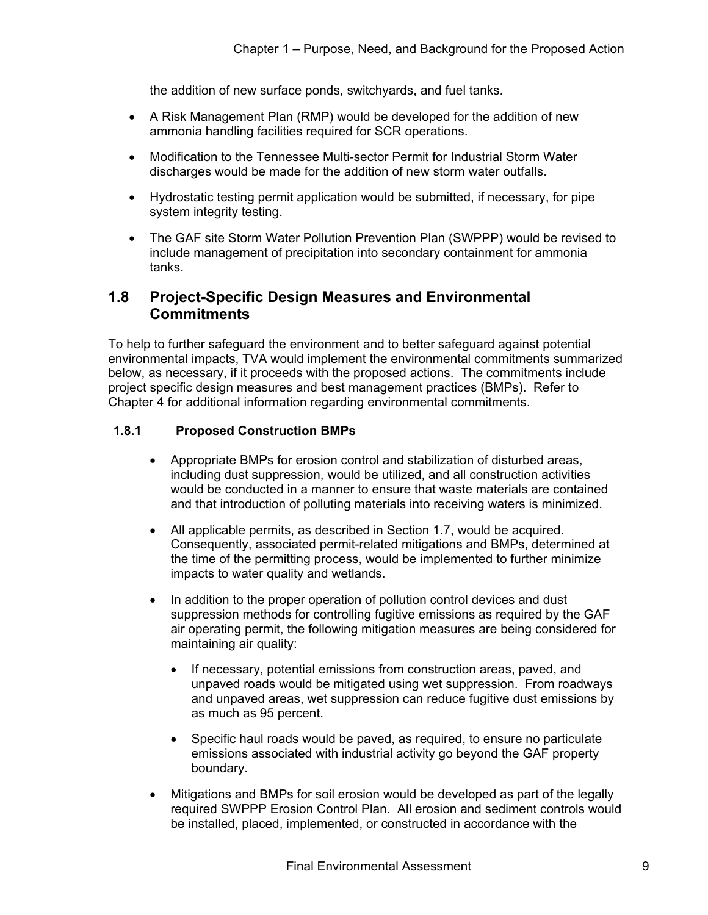the addition of new surface ponds, switchyards, and fuel tanks.

- A Risk Management Plan (RMP) would be developed for the addition of new ammonia handling facilities required for SCR operations.
- Modification to the Tennessee Multi-sector Permit for Industrial Storm Water discharges would be made for the addition of new storm water outfalls.
- Hydrostatic testing permit application would be submitted, if necessary, for pipe system integrity testing.
- The GAF site Storm Water Pollution Prevention Plan (SWPPP) would be revised to include management of precipitation into secondary containment for ammonia tanks.

### **1.8 Project-Specific Design Measures and Environmental Commitments**

To help to further safeguard the environment and to better safeguard against potential environmental impacts, TVA would implement the environmental commitments summarized below, as necessary, if it proceeds with the proposed actions. The commitments include project specific design measures and best management practices (BMPs). Refer to Chapter 4 for additional information regarding environmental commitments.

#### **1.8.1 Proposed Construction BMPs**

- Appropriate BMPs for erosion control and stabilization of disturbed areas, including dust suppression, would be utilized, and all construction activities would be conducted in a manner to ensure that waste materials are contained and that introduction of polluting materials into receiving waters is minimized.
- All applicable permits, as described in Section 1.7, would be acquired. Consequently, associated permit-related mitigations and BMPs, determined at the time of the permitting process, would be implemented to further minimize impacts to water quality and wetlands.
- In addition to the proper operation of pollution control devices and dust suppression methods for controlling fugitive emissions as required by the GAF air operating permit, the following mitigation measures are being considered for maintaining air quality:
	- If necessary, potential emissions from construction areas, paved, and unpaved roads would be mitigated using wet suppression. From roadways and unpaved areas, wet suppression can reduce fugitive dust emissions by as much as 95 percent.
	- Specific haul roads would be paved, as required, to ensure no particulate emissions associated with industrial activity go beyond the GAF property boundary.
- Mitigations and BMPs for soil erosion would be developed as part of the legally required SWPPP Erosion Control Plan. All erosion and sediment controls would be installed, placed, implemented, or constructed in accordance with the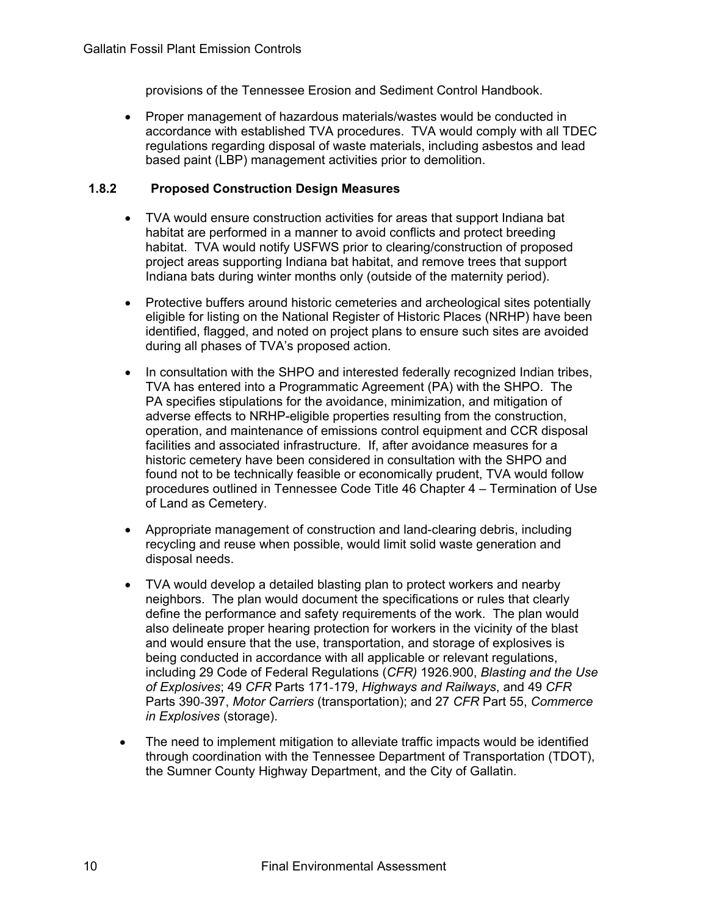provisions of the Tennessee Erosion and Sediment Control Handbook.

• Proper management of hazardous materials/wastes would be conducted in accordance with established TVA procedures. TVA would comply with all TDEC regulations regarding disposal of waste materials, including asbestos and lead based paint (LBP) management activities prior to demolition.

### **1.8.2 Proposed Construction Design Measures**

- TVA would ensure construction activities for areas that support Indiana bat habitat are performed in a manner to avoid conflicts and protect breeding habitat. TVA would notify USFWS prior to clearing/construction of proposed project areas supporting Indiana bat habitat, and remove trees that support Indiana bats during winter months only (outside of the maternity period).
- Protective buffers around historic cemeteries and archeological sites potentially eligible for listing on the National Register of Historic Places (NRHP) have been identified, flagged, and noted on project plans to ensure such sites are avoided during all phases of TVA's proposed action.
- In consultation with the SHPO and interested federally recognized Indian tribes, TVA has entered into a Programmatic Agreement (PA) with the SHPO. The PA specifies stipulations for the avoidance, minimization, and mitigation of adverse effects to NRHP-eligible properties resulting from the construction, operation, and maintenance of emissions control equipment and CCR disposal facilities and associated infrastructure. If, after avoidance measures for a historic cemetery have been considered in consultation with the SHPO and found not to be technically feasible or economically prudent, TVA would follow procedures outlined in Tennessee Code Title 46 Chapter 4 – Termination of Use of Land as Cemetery.
- Appropriate management of construction and land-clearing debris, including recycling and reuse when possible, would limit solid waste generation and disposal needs.
- TVA would develop a detailed blasting plan to protect workers and nearby neighbors. The plan would document the specifications or rules that clearly define the performance and safety requirements of the work. The plan would also delineate proper hearing protection for workers in the vicinity of the blast and would ensure that the use, transportation, and storage of explosives is being conducted in accordance with all applicable or relevant regulations, including 29 Code of Federal Regulations (*CFR)* 1926.900, *Blasting and the Use of Explosives*; 49 *CFR* Parts 171-179, *Highways and Railways*, and 49 *CFR* Parts 390-397, *Motor Carriers* (transportation); and 27 *CFR* Part 55, *Commerce in Explosives* (storage).
- The need to implement mitigation to alleviate traffic impacts would be identified through coordination with the Tennessee Department of Transportation (TDOT), the Sumner County Highway Department, and the City of Gallatin.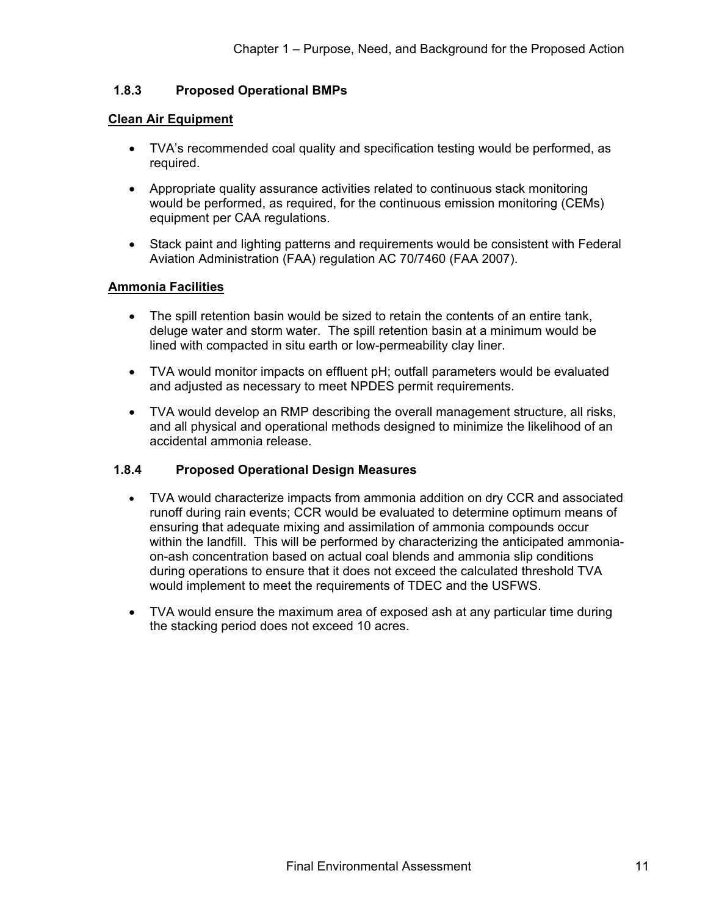### **1.8.3 Proposed Operational BMPs**

### **Clean Air Equipment**

- TVA's recommended coal quality and specification testing would be performed, as required.
- Appropriate quality assurance activities related to continuous stack monitoring would be performed, as required, for the continuous emission monitoring (CEMs) equipment per CAA regulations.
- Stack paint and lighting patterns and requirements would be consistent with Federal Aviation Administration (FAA) regulation AC 70/7460 (FAA 2007).

#### **Ammonia Facilities**

- The spill retention basin would be sized to retain the contents of an entire tank, deluge water and storm water. The spill retention basin at a minimum would be lined with compacted in situ earth or low-permeability clay liner.
- TVA would monitor impacts on effluent pH; outfall parameters would be evaluated and adjusted as necessary to meet NPDES permit requirements.
- TVA would develop an RMP describing the overall management structure, all risks, and all physical and operational methods designed to minimize the likelihood of an accidental ammonia release.

### **1.8.4 Proposed Operational Design Measures**

- TVA would characterize impacts from ammonia addition on dry CCR and associated runoff during rain events; CCR would be evaluated to determine optimum means of ensuring that adequate mixing and assimilation of ammonia compounds occur within the landfill. This will be performed by characterizing the anticipated ammoniaon-ash concentration based on actual coal blends and ammonia slip conditions during operations to ensure that it does not exceed the calculated threshold TVA would implement to meet the requirements of TDEC and the USFWS.
- TVA would ensure the maximum area of exposed ash at any particular time during the stacking period does not exceed 10 acres.